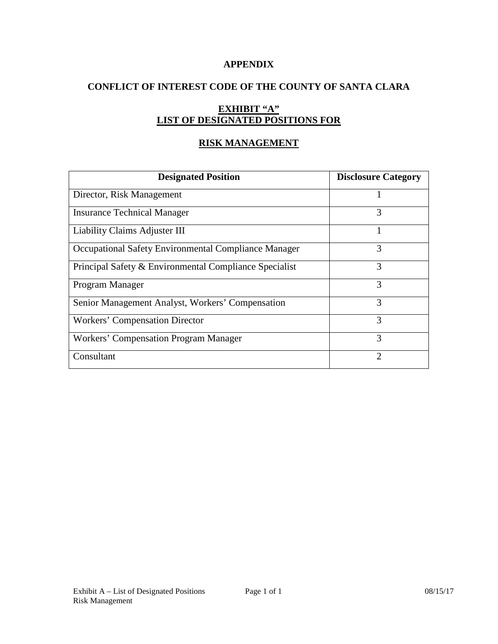#### **APPENDIX**

# **CONFLICT OF INTEREST CODE OF THE COUNTY OF SANTA CLARA**

## **EXHIBIT "A" LIST OF DESIGNATED POSITIONS FOR**

### **RISK MANAGEMENT**

| <b>Designated Position</b>                             | <b>Disclosure Category</b> |
|--------------------------------------------------------|----------------------------|
| Director, Risk Management                              |                            |
| <b>Insurance Technical Manager</b>                     | 3                          |
| Liability Claims Adjuster III                          |                            |
| Occupational Safety Environmental Compliance Manager   | 3                          |
| Principal Safety & Environmental Compliance Specialist | 3                          |
| Program Manager                                        | 3                          |
| Senior Management Analyst, Workers' Compensation       | 3                          |
| <b>Workers' Compensation Director</b>                  | 3                          |
| Workers' Compensation Program Manager                  | 3                          |
| Consultant                                             | っ                          |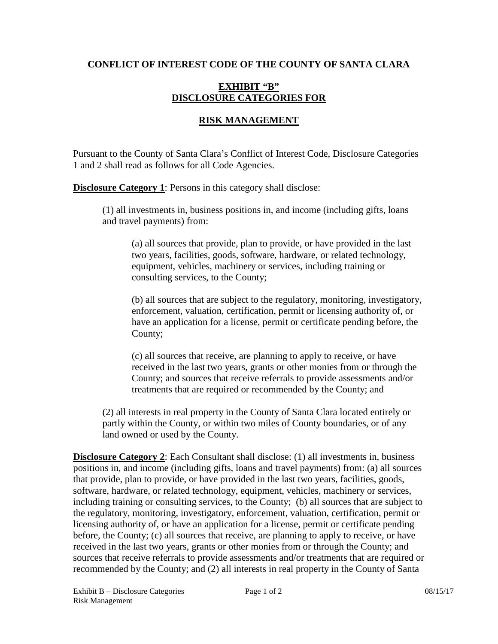### **CONFLICT OF INTEREST CODE OF THE COUNTY OF SANTA CLARA**

#### **EXHIBIT "B" DISCLOSURE CATEGORIES FOR**

## **RISK MANAGEMENT**

Pursuant to the County of Santa Clara's Conflict of Interest Code, Disclosure Categories 1 and 2 shall read as follows for all Code Agencies.

**Disclosure Category 1:** Persons in this category shall disclose:

(1) all investments in, business positions in, and income (including gifts, loans and travel payments) from:

(a) all sources that provide, plan to provide, or have provided in the last two years, facilities, goods, software, hardware, or related technology, equipment, vehicles, machinery or services, including training or consulting services, to the County;

(b) all sources that are subject to the regulatory, monitoring, investigatory, enforcement, valuation, certification, permit or licensing authority of, or have an application for a license, permit or certificate pending before, the County;

(c) all sources that receive, are planning to apply to receive, or have received in the last two years, grants or other monies from or through the County; and sources that receive referrals to provide assessments and/or treatments that are required or recommended by the County; and

(2) all interests in real property in the County of Santa Clara located entirely or partly within the County, or within two miles of County boundaries, or of any land owned or used by the County.

**Disclosure Category 2**: Each Consultant shall disclose: (1) all investments in, business positions in, and income (including gifts, loans and travel payments) from: (a) all sources that provide, plan to provide, or have provided in the last two years, facilities, goods, software, hardware, or related technology, equipment, vehicles, machinery or services, including training or consulting services, to the County; (b) all sources that are subject to the regulatory, monitoring, investigatory, enforcement, valuation, certification, permit or licensing authority of, or have an application for a license, permit or certificate pending before, the County; (c) all sources that receive, are planning to apply to receive, or have received in the last two years, grants or other monies from or through the County; and sources that receive referrals to provide assessments and/or treatments that are required or recommended by the County; and (2) all interests in real property in the County of Santa